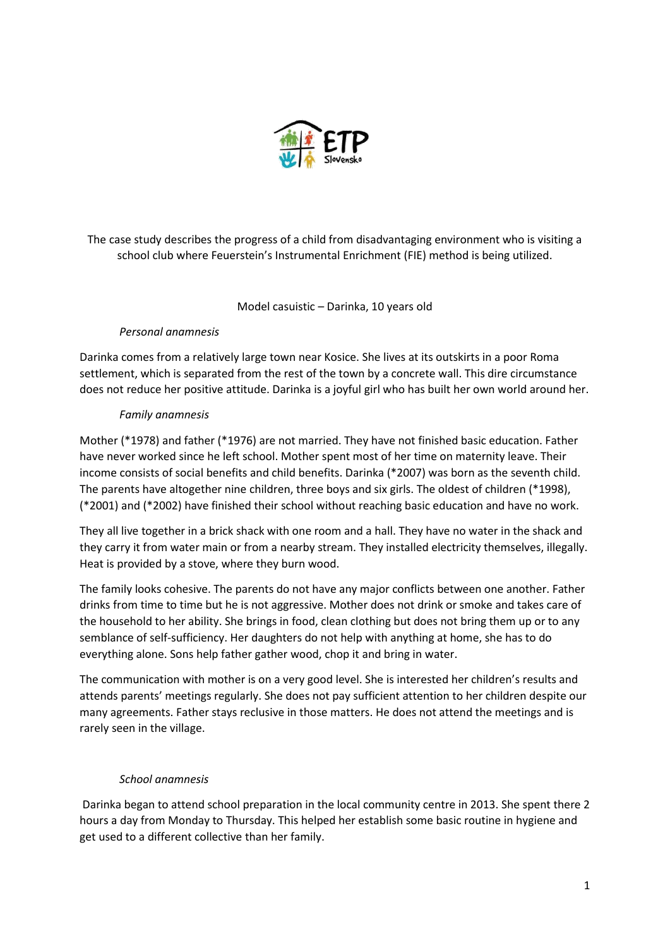

The case study describes the progress of a child from disadvantaging environment who is visiting a school club where Feuerstein's Instrumental Enrichment (FIE) method is being utilized.

### Model casuistic – Darinka, 10 years old

# *Personal anamnesis*

Darinka comes from a relatively large town near Kosice. She lives at its outskirts in a poor Roma settlement, which is separated from the rest of the town by a concrete wall. This dire circumstance does not reduce her positive attitude. Darinka is a joyful girl who has built her own world around her.

### *Family anamnesis*

Mother (\*1978) and father (\*1976) are not married. They have not finished basic education. Father have never worked since he left school. Mother spent most of her time on maternity leave. Their income consists of social benefits and child benefits. Darinka (\*2007) was born as the seventh child. The parents have altogether nine children, three boys and six girls. The oldest of children (\*1998), (\*2001) and (\*2002) have finished their school without reaching basic education and have no work.

They all live together in a brick shack with one room and a hall. They have no water in the shack and they carry it from water main or from a nearby stream. They installed electricity themselves, illegally. Heat is provided by a stove, where they burn wood.

The family looks cohesive. The parents do not have any major conflicts between one another. Father drinks from time to time but he is not aggressive. Mother does not drink or smoke and takes care of the household to her ability. She brings in food, clean clothing but does not bring them up or to any semblance of self-sufficiency. Her daughters do not help with anything at home, she has to do everything alone. Sons help father gather wood, chop it and bring in water.

The communication with mother is on a very good level. She is interested her children's results and attends parents' meetings regularly. She does not pay sufficient attention to her children despite our many agreements. Father stays reclusive in those matters. He does not attend the meetings and is rarely seen in the village.

### *School anamnesis*

Darinka began to attend school preparation in the local community centre in 2013. She spent there 2 hours a day from Monday to Thursday. This helped her establish some basic routine in hygiene and get used to a different collective than her family.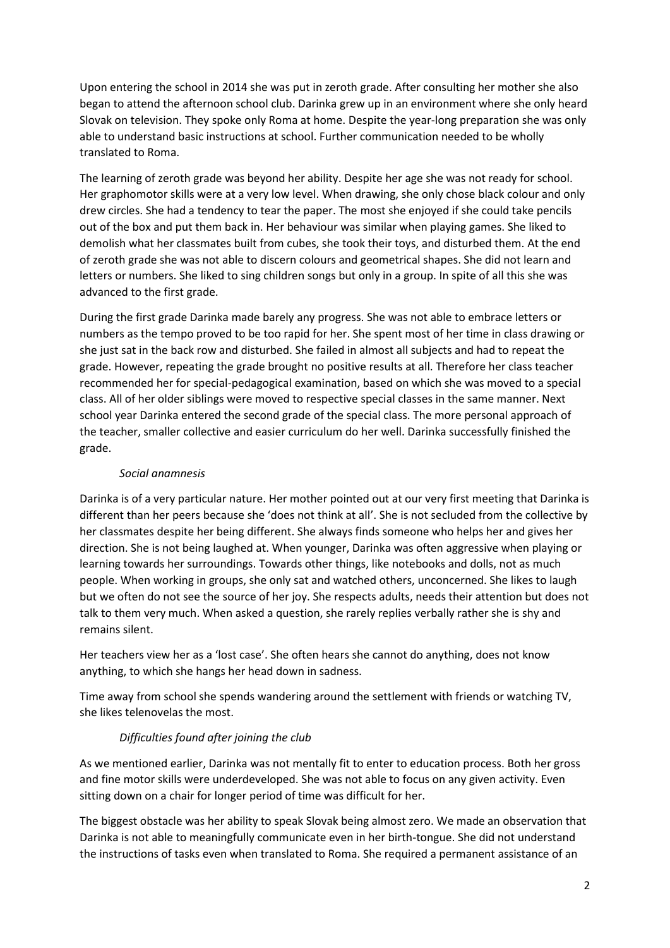Upon entering the school in 2014 she was put in zeroth grade. After consulting her mother she also began to attend the afternoon school club. Darinka grew up in an environment where she only heard Slovak on television. They spoke only Roma at home. Despite the year-long preparation she was only able to understand basic instructions at school. Further communication needed to be wholly translated to Roma.

The learning of zeroth grade was beyond her ability. Despite her age she was not ready for school. Her graphomotor skills were at a very low level. When drawing, she only chose black colour and only drew circles. She had a tendency to tear the paper. The most she enjoyed if she could take pencils out of the box and put them back in. Her behaviour was similar when playing games. She liked to demolish what her classmates built from cubes, she took their toys, and disturbed them. At the end of zeroth grade she was not able to discern colours and geometrical shapes. She did not learn and letters or numbers. She liked to sing children songs but only in a group. In spite of all this she was advanced to the first grade.

During the first grade Darinka made barely any progress. She was not able to embrace letters or numbers as the tempo proved to be too rapid for her. She spent most of her time in class drawing or she just sat in the back row and disturbed. She failed in almost all subjects and had to repeat the grade. However, repeating the grade brought no positive results at all. Therefore her class teacher recommended her for special-pedagogical examination, based on which she was moved to a special class. All of her older siblings were moved to respective special classes in the same manner. Next school year Darinka entered the second grade of the special class. The more personal approach of the teacher, smaller collective and easier curriculum do her well. Darinka successfully finished the grade.

# *Social anamnesis*

Darinka is of a very particular nature. Her mother pointed out at our very first meeting that Darinka is different than her peers because she 'does not think at all'. She is not secluded from the collective by her classmates despite her being different. She always finds someone who helps her and gives her direction. She is not being laughed at. When younger, Darinka was often aggressive when playing or learning towards her surroundings. Towards other things, like notebooks and dolls, not as much people. When working in groups, she only sat and watched others, unconcerned. She likes to laugh but we often do not see the source of her joy. She respects adults, needs their attention but does not talk to them very much. When asked a question, she rarely replies verbally rather she is shy and remains silent.

Her teachers view her as a 'lost case'. She often hears she cannot do anything, does not know anything, to which she hangs her head down in sadness.

Time away from school she spends wandering around the settlement with friends or watching TV, she likes telenovelas the most.

# *Difficulties found after joining the club*

As we mentioned earlier, Darinka was not mentally fit to enter to education process. Both her gross and fine motor skills were underdeveloped. She was not able to focus on any given activity. Even sitting down on a chair for longer period of time was difficult for her.

The biggest obstacle was her ability to speak Slovak being almost zero. We made an observation that Darinka is not able to meaningfully communicate even in her birth-tongue. She did not understand the instructions of tasks even when translated to Roma. She required a permanent assistance of an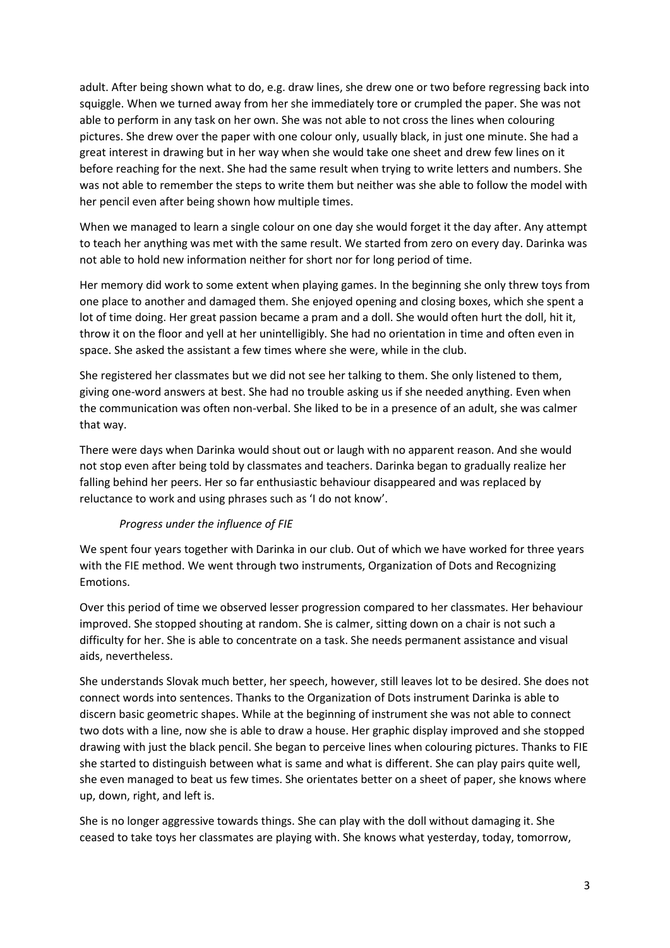adult. After being shown what to do, e.g. draw lines, she drew one or two before regressing back into squiggle. When we turned away from her she immediately tore or crumpled the paper. She was not able to perform in any task on her own. She was not able to not cross the lines when colouring pictures. She drew over the paper with one colour only, usually black, in just one minute. She had a great interest in drawing but in her way when she would take one sheet and drew few lines on it before reaching for the next. She had the same result when trying to write letters and numbers. She was not able to remember the steps to write them but neither was she able to follow the model with her pencil even after being shown how multiple times.

When we managed to learn a single colour on one day she would forget it the day after. Any attempt to teach her anything was met with the same result. We started from zero on every day. Darinka was not able to hold new information neither for short nor for long period of time.

Her memory did work to some extent when playing games. In the beginning she only threw toys from one place to another and damaged them. She enjoyed opening and closing boxes, which she spent a lot of time doing. Her great passion became a pram and a doll. She would often hurt the doll, hit it, throw it on the floor and yell at her unintelligibly. She had no orientation in time and often even in space. She asked the assistant a few times where she were, while in the club.

She registered her classmates but we did not see her talking to them. She only listened to them, giving one-word answers at best. She had no trouble asking us if she needed anything. Even when the communication was often non-verbal. She liked to be in a presence of an adult, she was calmer that way.

There were days when Darinka would shout out or laugh with no apparent reason. And she would not stop even after being told by classmates and teachers. Darinka began to gradually realize her falling behind her peers. Her so far enthusiastic behaviour disappeared and was replaced by reluctance to work and using phrases such as 'I do not know'.

# *Progress under the influence of FIE*

We spent four years together with Darinka in our club. Out of which we have worked for three years with the FIE method. We went through two instruments, Organization of Dots and Recognizing Emotions.

Over this period of time we observed lesser progression compared to her classmates. Her behaviour improved. She stopped shouting at random. She is calmer, sitting down on a chair is not such a difficulty for her. She is able to concentrate on a task. She needs permanent assistance and visual aids, nevertheless.

She understands Slovak much better, her speech, however, still leaves lot to be desired. She does not connect words into sentences. Thanks to the Organization of Dots instrument Darinka is able to discern basic geometric shapes. While at the beginning of instrument she was not able to connect two dots with a line, now she is able to draw a house. Her graphic display improved and she stopped drawing with just the black pencil. She began to perceive lines when colouring pictures. Thanks to FIE she started to distinguish between what is same and what is different. She can play pairs quite well, she even managed to beat us few times. She orientates better on a sheet of paper, she knows where up, down, right, and left is.

She is no longer aggressive towards things. She can play with the doll without damaging it. She ceased to take toys her classmates are playing with. She knows what yesterday, today, tomorrow,